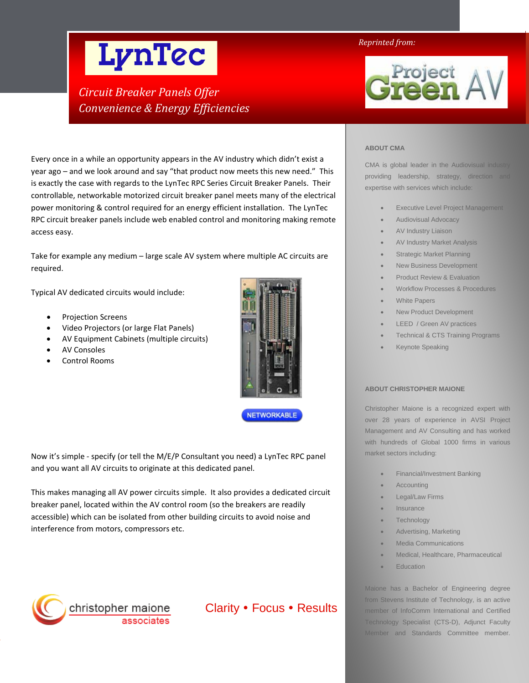# LynTec

# *Circuit Breaker Panels Offer Convenience & Energy Efficiencies*

Every once in a while an opportunity appears in the AV industry which didn't exist a year ago – and we look around and say "that product now meets this new need." This is exactly the case with regards to the LynTec RPC Series Circuit Breaker Panels. Their controllable, networkable motorized circuit breaker panel meets many of the electrical power monitoring & control required for an energy efficient installation. The LynTec RPC circuit breaker panels include web enabled control and monitoring making remote access easy.

Take for example any medium – large scale AV system where multiple AC circuits are required.

Typical AV dedicated circuits would include:

• Projection Screens

- Video Projectors (or large Flat Panels)
- AV Equipment Cabinets (multiple circuits)
- **AV Consoles**
- Control Rooms



**NETWORKABLE** 

Now it's simple - specify (or tell the M/E/P Consultant you need) a LynTec RPC panel and you want all AV circuits to originate at this dedicated panel.

This makes managing all AV power circuits simple. It also provides a dedicated circuit breaker panel, located within the AV control room (so the breakers are readily accessible) which can be isolated from other building circuits to avoid noise and interference from motors, compressors etc.



Clarity • Focus • Results

# *Reprinted from:*



# **ABOUT CMA**

CMA is global leader in the Audiovisual industry providing leadership, strategy, direction and expertise with services which include:

- **Executive Level Project Management**
- Audiovisual Advocacy
- AV Industry Liaison
- AV Industry Market Analysis
- **Strategic Market Planning**
- New Business Development
- Product Review & Evaluation
- Workflow Processes & Procedures
- White Papers
- New Product Development
- LEED / Green AV practices
- Technical & CTS Training Programs
- Keynote Speaking

#### **ABOUT CHRISTOPHER MAIONE**

Christopher Maione is a recognized expert with over 28 years of experience in AVSI Project Management and AV Consulting and has worked with hundreds of Global 1000 firms in various market sectors including:

- Financial/Investment Banking
- **Accounting**
- Legal/Law Firms
- **Insurance**
- Technology
- Advertising, Marketing
- Media Communications
- Medical, Healthcare, Pharmaceutical
- **Education**

from Stevens Institute of Technology, is an active member of InfoComm International and Certified Technology Specialist (CTS-D), Adjunct Faculty Maione has a Bachelor of Engineering degree Member and Standards Committee member.